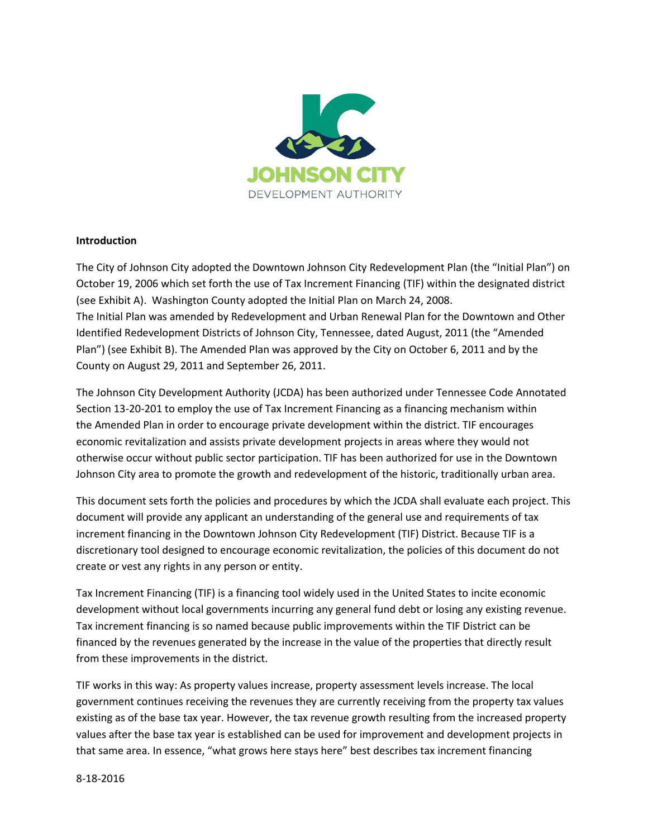

### **Introduction**

The City of Johnson City adopted the Downtown Johnson City Redevelopment Plan (the "Initial Plan") on October 19, 2006 which set forth the use of Tax Increment Financing (TIF) within the designated district (see Exhibit A). Washington County adopted the Initial Plan on March 24, 2008. The Initial Plan was amended by Redevelopment and Urban Renewal Plan for the Downtown and Other Identified Redevelopment Districts of Johnson City, Tennessee, dated August, 2011 (the "Amended Plan") (see Exhibit B). The Amended Plan was approved by the City on October 6, 2011 and by the County on August 29, 2011 and September 26, 2011.

The Johnson City Development Authority (JCDA) has been authorized under Tennessee Code Annotated Section 13-20-201 to employ the use of Tax Increment Financing as a financing mechanism within the Amended Plan in order to encourage private development within the district. TIF encourages economic revitalization and assists private development projects in areas where they would not otherwise occur without public sector participation. TIF has been authorized for use in the Downtown Johnson City area to promote the growth and redevelopment of the historic, traditionally urban area.

This document sets forth the policies and procedures by which the JCDA shall evaluate each project. This document will provide any applicant an understanding of the general use and requirements of tax increment financing in the Downtown Johnson City Redevelopment (TIF) District. Because TIF is a discretionary tool designed to encourage economic revitalization, the policies of this document do not create or vest any rights in any person or entity.

Tax Increment Financing (TIF) is a financing tool widely used in the United States to incite economic development without local governments incurring any general fund debt or losing any existing revenue. Tax increment financing is so named because public improvements within the TIF District can be financed by the revenues generated by the increase in the value of the properties that directly result from these improvements in the district.

TIF works in this way: As property values increase, property assessment levels increase. The local government continues receiving the revenues they are currently receiving from the property tax values existing as of the base tax year. However, the tax revenue growth resulting from the increased property values after the base tax year is established can be used for improvement and development projects in that same area. In essence, "what grows here stays here" best describes tax increment financing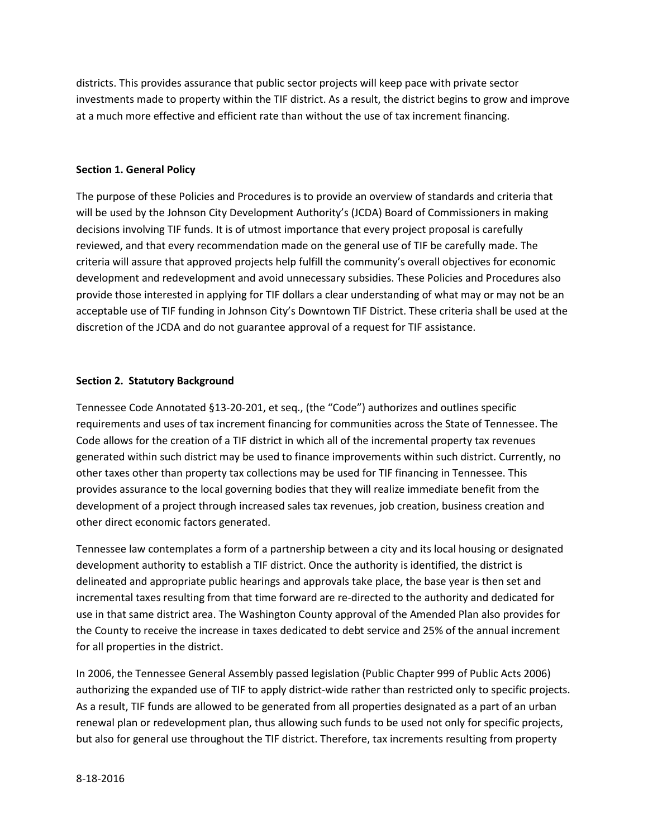districts. This provides assurance that public sector projects will keep pace with private sector investments made to property within the TIF district. As a result, the district begins to grow and improve at a much more effective and efficient rate than without the use of tax increment financing.

# **Section 1. General Policy**

The purpose of these Policies and Procedures is to provide an overview of standards and criteria that will be used by the Johnson City Development Authority's (JCDA) Board of Commissioners in making decisions involving TIF funds. It is of utmost importance that every project proposal is carefully reviewed, and that every recommendation made on the general use of TIF be carefully made. The criteria will assure that approved projects help fulfill the community's overall objectives for economic development and redevelopment and avoid unnecessary subsidies. These Policies and Procedures also provide those interested in applying for TIF dollars a clear understanding of what may or may not be an acceptable use of TIF funding in Johnson City's Downtown TIF District. These criteria shall be used at the discretion of the JCDA and do not guarantee approval of a request for TIF assistance.

### **Section 2. Statutory Background**

Tennessee Code Annotated §13-20-201, et seq., (the "Code") authorizes and outlines specific requirements and uses of tax increment financing for communities across the State of Tennessee. The Code allows for the creation of a TIF district in which all of the incremental property tax revenues generated within such district may be used to finance improvements within such district. Currently, no other taxes other than property tax collections may be used for TIF financing in Tennessee. This provides assurance to the local governing bodies that they will realize immediate benefit from the development of a project through increased sales tax revenues, job creation, business creation and other direct economic factors generated.

Tennessee law contemplates a form of a partnership between a city and its local housing or designated development authority to establish a TIF district. Once the authority is identified, the district is delineated and appropriate public hearings and approvals take place, the base year is then set and incremental taxes resulting from that time forward are re-directed to the authority and dedicated for use in that same district area. The Washington County approval of the Amended Plan also provides for the County to receive the increase in taxes dedicated to debt service and 25% of the annual increment for all properties in the district.

In 2006, the Tennessee General Assembly passed legislation (Public Chapter 999 of Public Acts 2006) authorizing the expanded use of TIF to apply district-wide rather than restricted only to specific projects. As a result, TIF funds are allowed to be generated from all properties designated as a part of an urban renewal plan or redevelopment plan, thus allowing such funds to be used not only for specific projects, but also for general use throughout the TIF district. Therefore, tax increments resulting from property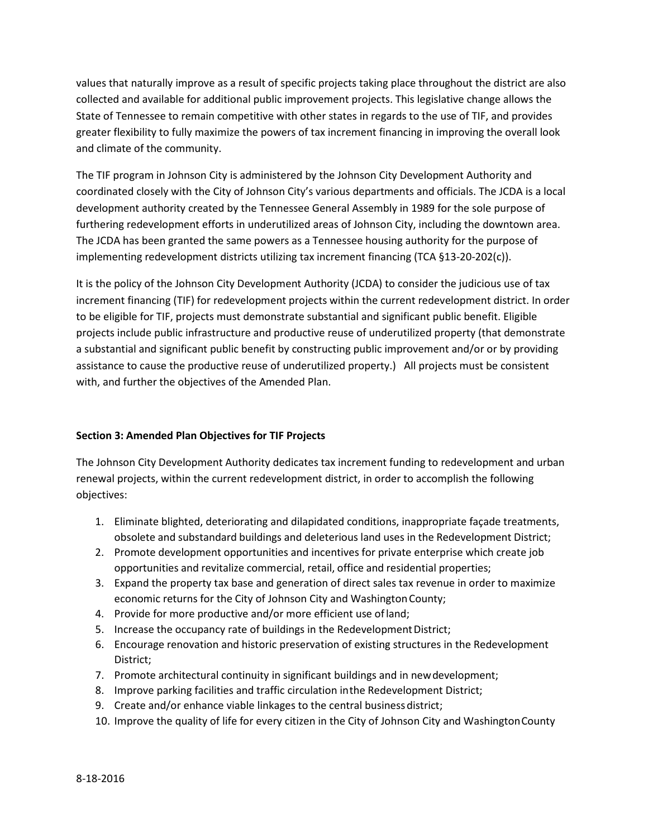values that naturally improve as a result of specific projects taking place throughout the district are also collected and available for additional public improvement projects. This legislative change allows the State of Tennessee to remain competitive with other states in regards to the use of TIF, and provides greater flexibility to fully maximize the powers of tax increment financing in improving the overall look and climate of the community.

The TIF program in Johnson City is administered by the Johnson City Development Authority and coordinated closely with the City of Johnson City's various departments and officials. The JCDA is a local development authority created by the Tennessee General Assembly in 1989 for the sole purpose of furthering redevelopment efforts in underutilized areas of Johnson City, including the downtown area. The JCDA has been granted the same powers as a Tennessee housing authority for the purpose of implementing redevelopment districts utilizing tax increment financing (TCA §13-20-202(c)).

It is the policy of the Johnson City Development Authority (JCDA) to consider the judicious use of tax increment financing (TIF) for redevelopment projects within the current redevelopment district. In order to be eligible for TIF, projects must demonstrate substantial and significant public benefit. Eligible projects include public infrastructure and productive reuse of underutilized property (that demonstrate a substantial and significant public benefit by constructing public improvement and/or or by providing assistance to cause the productive reuse of underutilized property.) All projects must be consistent with, and further the objectives of the Amended Plan.

# **Section 3: Amended Plan Objectives for TIF Projects**

The Johnson City Development Authority dedicates tax increment funding to redevelopment and urban renewal projects, within the current redevelopment district, in order to accomplish the following objectives:

- 1. Eliminate blighted, deteriorating and dilapidated conditions, inappropriate façade treatments, obsolete and substandard buildings and deleterious land uses in the Redevelopment District;
- 2. Promote development opportunities and incentives for private enterprise which create job opportunities and revitalize commercial, retail, office and residential properties;
- 3. Expand the property tax base and generation of direct sales tax revenue in order to maximize economic returns for the City of Johnson City and Washington County;
- 4. Provide for more productive and/or more efficient use ofland;
- 5. Increase the occupancy rate of buildings in the Redevelopment District;
- 6. Encourage renovation and historic preservation of existing structures in the Redevelopment District;
- 7. Promote architectural continuity in significant buildings and in newdevelopment;
- 8. Improve parking facilities and traffic circulation inthe Redevelopment District;
- 9. Create and/or enhance viable linkages to the central business district;
- 10. Improve the quality of life for every citizen in the City of Johnson City and WashingtonCounty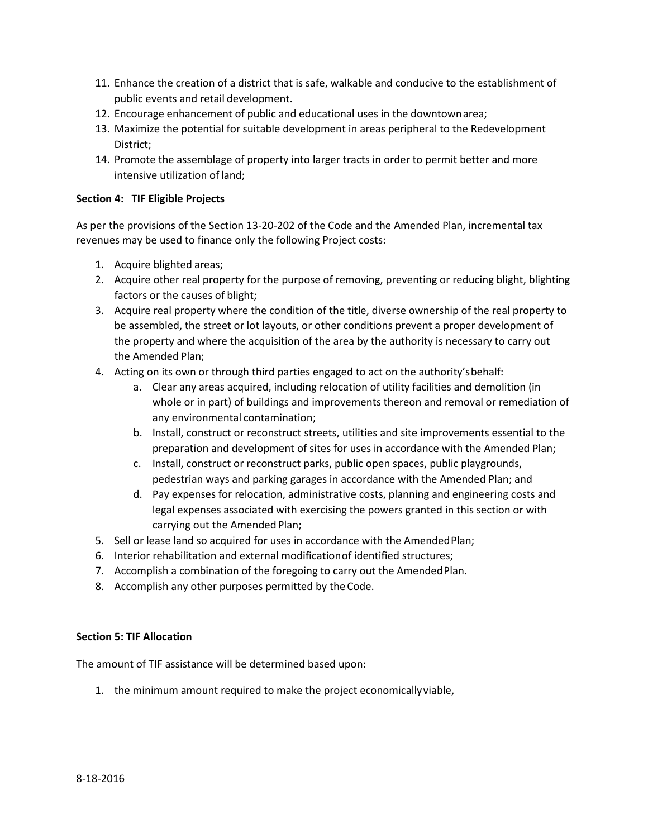- 11. Enhance the creation of a district that is safe, walkable and conducive to the establishment of public events and retail development.
- 12. Encourage enhancement of public and educational uses in the downtownarea;
- 13. Maximize the potential for suitable development in areas peripheral to the Redevelopment District;
- 14. Promote the assemblage of property into larger tracts in order to permit better and more intensive utilization of land;

### **Section 4: TIF Eligible Projects**

As per the provisions of the Section 13-20-202 of the Code and the Amended Plan, incremental tax revenues may be used to finance only the following Project costs:

- 1. Acquire blighted areas;
- 2. Acquire other real property for the purpose of removing, preventing or reducing blight, blighting factors or the causes of blight;
- 3. Acquire real property where the condition of the title, diverse ownership of the real property to be assembled, the street or lot layouts, or other conditions prevent a proper development of the property and where the acquisition of the area by the authority is necessary to carry out the Amended Plan;
- 4. Acting on its own or through third parties engaged to act on the authority'sbehalf:
	- a. Clear any areas acquired, including relocation of utility facilities and demolition (in whole or in part) of buildings and improvements thereon and removal or remediation of any environmental contamination;
	- b. Install, construct or reconstruct streets, utilities and site improvements essential to the preparation and development of sites for uses in accordance with the Amended Plan;
	- c. Install, construct or reconstruct parks, public open spaces, public playgrounds, pedestrian ways and parking garages in accordance with the Amended Plan; and
	- d. Pay expenses for relocation, administrative costs, planning and engineering costs and legal expenses associated with exercising the powers granted in this section or with carrying out the Amended Plan;
- 5. Sell or lease land so acquired for uses in accordance with the AmendedPlan;
- 6. Interior rehabilitation and external modificationof identified structures;
- 7. Accomplish a combination of the foregoing to carry out the AmendedPlan.
- 8. Accomplish any other purposes permitted by the Code.

# **Section 5: TIF Allocation**

The amount of TIF assistance will be determined based upon:

1. the minimum amount required to make the project economicallyviable,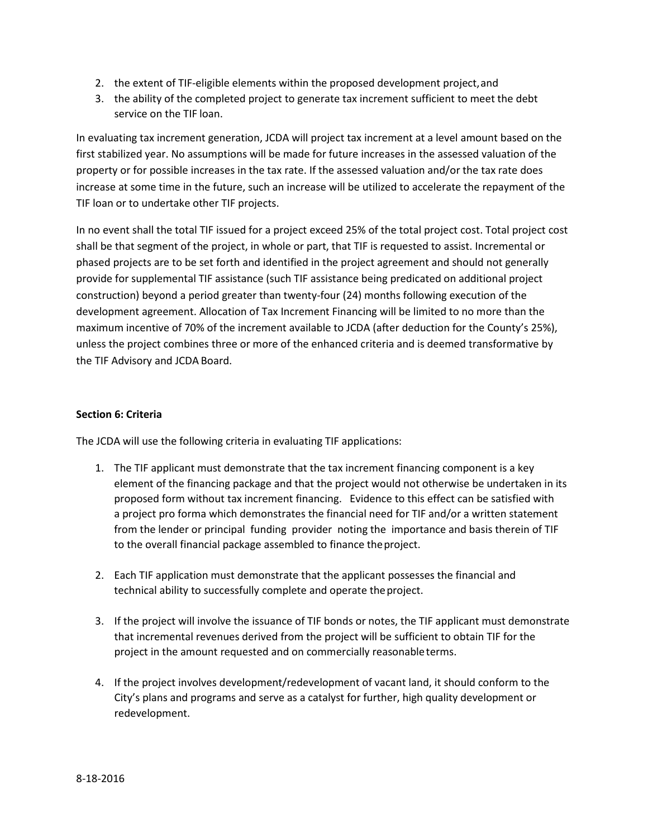- 2. the extent of TIF-eligible elements within the proposed development project,and
- 3. the ability of the completed project to generate tax increment sufficient to meet the debt service on the TIF loan.

In evaluating tax increment generation, JCDA will project tax increment at a level amount based on the first stabilized year. No assumptions will be made for future increases in the assessed valuation of the property or for possible increases in the tax rate. If the assessed valuation and/or the tax rate does increase at some time in the future, such an increase will be utilized to accelerate the repayment of the TIF loan or to undertake other TIF projects.

In no event shall the total TIF issued for a project exceed 25% of the total project cost. Total project cost shall be that segment of the project, in whole or part, that TIF is requested to assist. Incremental or phased projects are to be set forth and identified in the project agreement and should not generally provide for supplemental TIF assistance (such TIF assistance being predicated on additional project construction) beyond a period greater than twenty-four (24) months following execution of the development agreement. Allocation of Tax Increment Financing will be limited to no more than the maximum incentive of 70% of the increment available to JCDA (after deduction for the County's 25%), unless the project combines three or more of the enhanced criteria and is deemed transformative by the TIF Advisory and JCDA Board.

# **Section 6: Criteria**

The JCDA will use the following criteria in evaluating TIF applications:

- 1. The TIF applicant must demonstrate that the tax increment financing component is a key element of the financing package and that the project would not otherwise be undertaken in its proposed form without tax increment financing. Evidence to this effect can be satisfied with a project pro forma which demonstrates the financial need for TIF and/or a written statement from the lender or principal funding provider noting the importance and basis therein of TIF to the overall financial package assembled to finance theproject.
- 2. Each TIF application must demonstrate that the applicant possesses the financial and technical ability to successfully complete and operate theproject.
- 3. If the project will involve the issuance of TIF bonds or notes, the TIF applicant must demonstrate that incremental revenues derived from the project will be sufficient to obtain TIF for the project in the amount requested and on commercially reasonableterms.
- 4. If the project involves development/redevelopment of vacant land, it should conform to the City's plans and programs and serve as a catalyst for further, high quality development or redevelopment.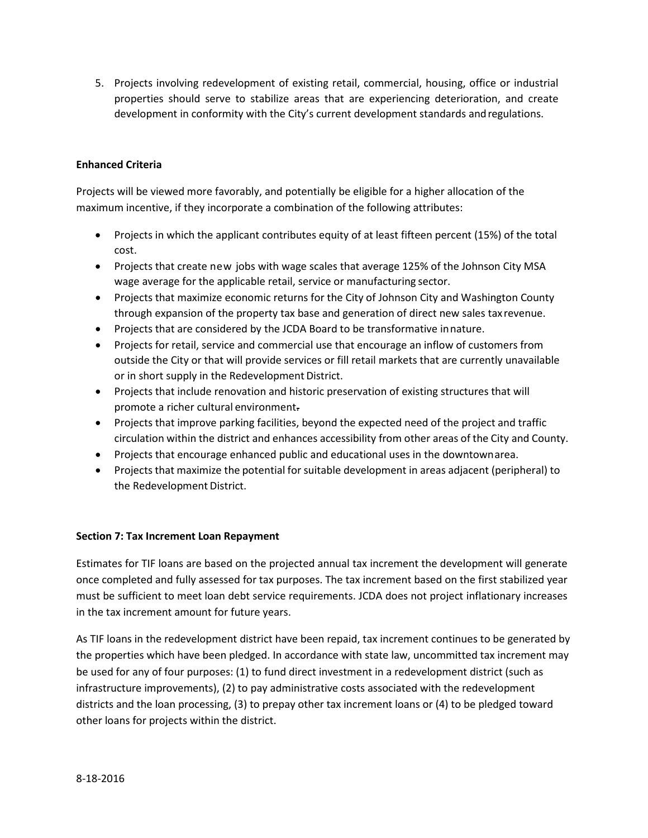5. Projects involving redevelopment of existing retail, commercial, housing, office or industrial properties should serve to stabilize areas that are experiencing deterioration, and create development in conformity with the City's current development standards andregulations.

# **Enhanced Criteria**

Projects will be viewed more favorably, and potentially be eligible for a higher allocation of the maximum incentive, if they incorporate a combination of the following attributes:

- Projects in which the applicant contributes equity of at least fifteen percent (15%) of the total cost.
- Projects that create new jobs with wage scales that average 125% of the Johnson City MSA wage average for the applicable retail, service or manufacturing sector.
- Projects that maximize economic returns for the City of Johnson City and Washington County through expansion of the property tax base and generation of direct new sales tax revenue.
- Projects that are considered by the JCDA Board to be transformative innature.
- Projects for retail, service and commercial use that encourage an inflow of customers from outside the City or that will provide services or fill retail markets that are currently unavailable or in short supply in the Redevelopment District.
- Projects that include renovation and historic preservation of existing structures that will promote a richer cultural environment.
- Projects that improve parking facilities, beyond the expected need of the project and traffic circulation within the district and enhances accessibility from other areas of the City and County.
- Projects that encourage enhanced public and educational uses in the downtownarea.
- Projects that maximize the potential forsuitable development in areas adjacent (peripheral) to the Redevelopment District.

# **Section 7: Tax Increment Loan Repayment**

Estimates for TIF loans are based on the projected annual tax increment the development will generate once completed and fully assessed for tax purposes. The tax increment based on the first stabilized year must be sufficient to meet loan debt service requirements. JCDA does not project inflationary increases in the tax increment amount for future years.

As TIF loans in the redevelopment district have been repaid, tax increment continues to be generated by the properties which have been pledged. In accordance with state law, uncommitted tax increment may be used for any of four purposes: (1) to fund direct investment in a redevelopment district (such as infrastructure improvements), (2) to pay administrative costs associated with the redevelopment districts and the loan processing, (3) to prepay other tax increment loans or (4) to be pledged toward other loans for projects within the district.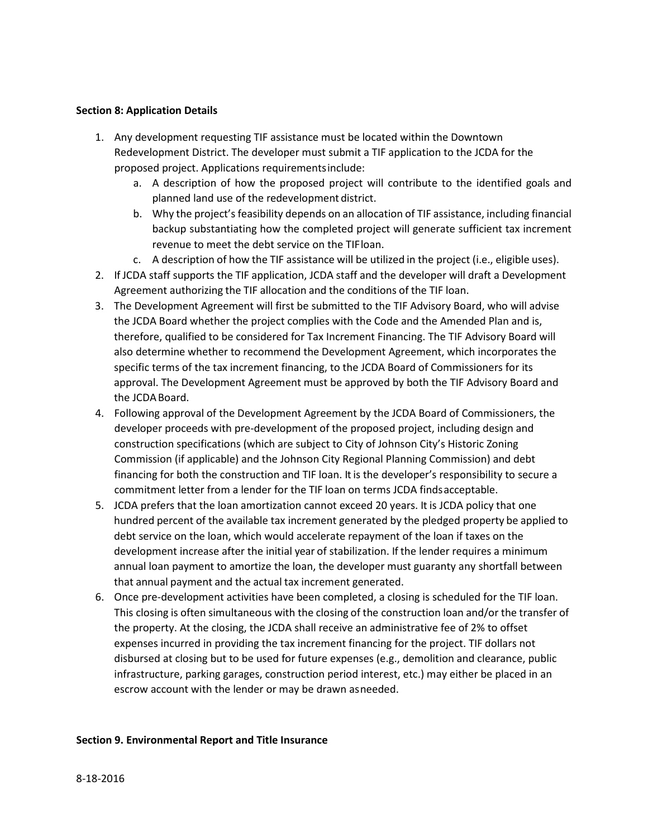### **Section 8: Application Details**

- 1. Any development requesting TIF assistance must be located within the Downtown Redevelopment District. The developer must submit a TIF application to the JCDA for the proposed project. Applications requirementsinclude:
	- a. A description of how the proposed project will contribute to the identified goals and planned land use of the redevelopment district.
	- b. Why the project's feasibility depends on an allocation of TIF assistance, including financial backup substantiating how the completed project will generate sufficient tax increment revenue to meet the debt service on the TIFloan.
	- c. A description of how the TIF assistance will be utilized in the project (i.e., eligible uses).
- 2. If JCDA staff supports the TIF application, JCDA staff and the developer will draft a Development Agreement authorizing the TIF allocation and the conditions of the TIF loan.
- 3. The Development Agreement will first be submitted to the TIF Advisory Board, who will advise the JCDA Board whether the project complies with the Code and the Amended Plan and is, therefore, qualified to be considered for Tax Increment Financing. The TIF Advisory Board will also determine whether to recommend the Development Agreement, which incorporates the specific terms of the tax increment financing, to the JCDA Board of Commissioners for its approval. The Development Agreement must be approved by both the TIF Advisory Board and the JCDABoard.
- 4. Following approval of the Development Agreement by the JCDA Board of Commissioners, the developer proceeds with pre-development of the proposed project, including design and construction specifications (which are subject to City of Johnson City's Historic Zoning Commission (if applicable) and the Johnson City Regional Planning Commission) and debt financing for both the construction and TIF loan. It is the developer's responsibility to secure a commitment letter from a lender for the TIF loan on terms JCDA findsacceptable.
- 5. JCDA prefers that the loan amortization cannot exceed 20 years. It is JCDA policy that one hundred percent of the available tax increment generated by the pledged property be applied to debt service on the loan, which would accelerate repayment of the loan if taxes on the development increase after the initial year of stabilization. If the lender requires a minimum annual loan payment to amortize the loan, the developer must guaranty any shortfall between that annual payment and the actual tax increment generated.
- 6. Once pre-development activities have been completed, a closing is scheduled for the TIF loan. This closing is often simultaneous with the closing of the construction loan and/or the transfer of the property. At the closing, the JCDA shall receive an administrative fee of 2% to offset expenses incurred in providing the tax increment financing for the project. TIF dollars not disbursed at closing but to be used for future expenses (e.g., demolition and clearance, public infrastructure, parking garages, construction period interest, etc.) may either be placed in an escrow account with the lender or may be drawn asneeded.

#### **Section 9. Environmental Report and Title Insurance**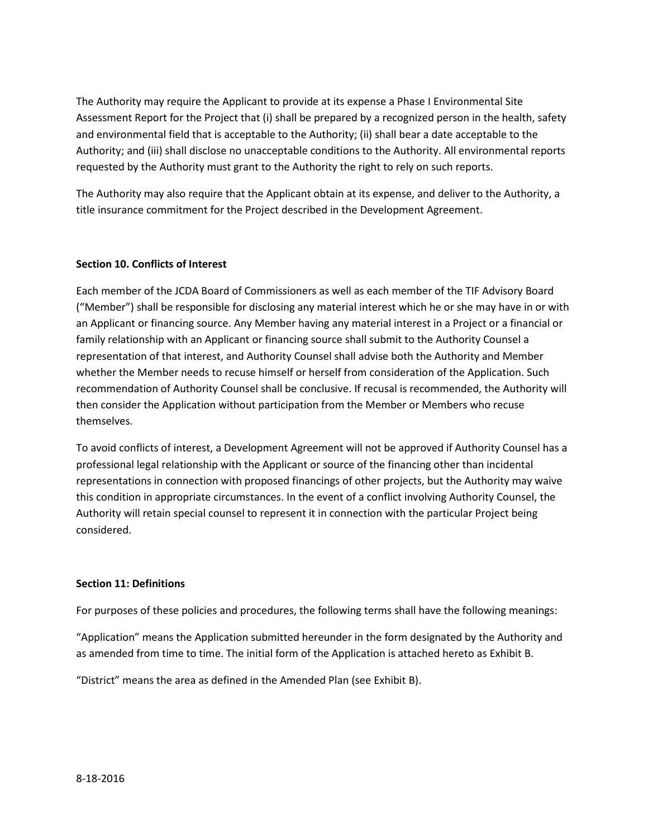The Authority may require the Applicant to provide at its expense a Phase I Environmental Site Assessment Report for the Project that (i) shall be prepared by a recognized person in the health, safety and environmental field that is acceptable to the Authority; (ii) shall bear a date acceptable to the Authority; and (iii) shall disclose no unacceptable conditions to the Authority. All environmental reports requested by the Authority must grant to the Authority the right to rely on such reports.

The Authority may also require that the Applicant obtain at its expense, and deliver to the Authority, a title insurance commitment for the Project described in the Development Agreement.

# **Section 10. Conflicts of Interest**

Each member of the JCDA Board of Commissioners as well as each member of the TIF Advisory Board ("Member") shall be responsible for disclosing any material interest which he or she may have in or with an Applicant or financing source. Any Member having any material interest in a Project or a financial or family relationship with an Applicant or financing source shall submit to the Authority Counsel a representation of that interest, and Authority Counsel shall advise both the Authority and Member whether the Member needs to recuse himself or herself from consideration of the Application. Such recommendation of Authority Counsel shall be conclusive. If recusal is recommended, the Authority will then consider the Application without participation from the Member or Members who recuse themselves.

To avoid conflicts of interest, a Development Agreement will not be approved if Authority Counsel has a professional legal relationship with the Applicant or source of the financing other than incidental representations in connection with proposed financings of other projects, but the Authority may waive this condition in appropriate circumstances. In the event of a conflict involving Authority Counsel, the Authority will retain special counsel to represent it in connection with the particular Project being considered.

# **Section 11: Definitions**

For purposes of these policies and procedures, the following terms shall have the following meanings:

"Application" means the Application submitted hereunder in the form designated by the Authority and as amended from time to time. The initial form of the Application is attached hereto as Exhibit B.

"District" means the area as defined in the Amended Plan (see Exhibit B).